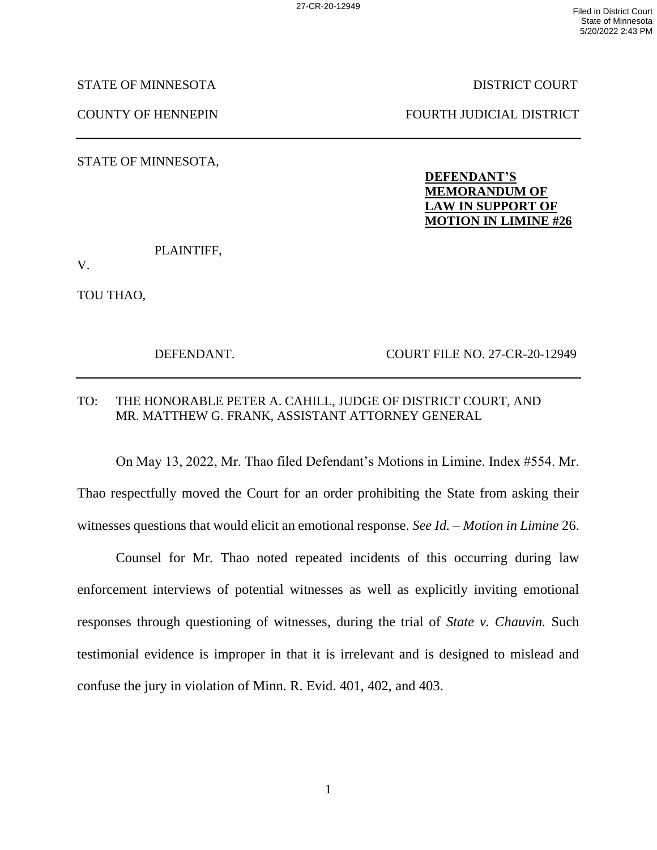STATE OF MINNESOTA DISTRICT COURT

COUNTY OF HENNEPIN FOURTH JUDICIAL DISTRICT

STATE OF MINNESOTA,

## **DEFENDANT'S MEMORANDUM OF LAW IN SUPPORT OF MOTION IN LIMINE #26**

PLAINTIFF,

V.

TOU THAO,

DEFENDANT. COURT FILE NO. 27-CR-20-12949

## TO: THE HONORABLE PETER A. CAHILL, JUDGE OF DISTRICT COURT, AND MR. MATTHEW G. FRANK, ASSISTANT ATTORNEY GENERAL

On May 13, 2022, Mr. Thao filed Defendant's Motions in Limine. Index #554. Mr. Thao respectfully moved the Court for an order prohibiting the State from asking their witnesses questions that would elicit an emotional response. *See Id.* – *Motion in Limine* 26.

Counsel for Mr. Thao noted repeated incidents of this occurring during law enforcement interviews of potential witnesses as well as explicitly inviting emotional responses through questioning of witnesses, during the trial of *State v. Chauvin.* Such testimonial evidence is improper in that it is irrelevant and is designed to mislead and confuse the jury in violation of Minn. R. Evid. 401, 402, and 403.